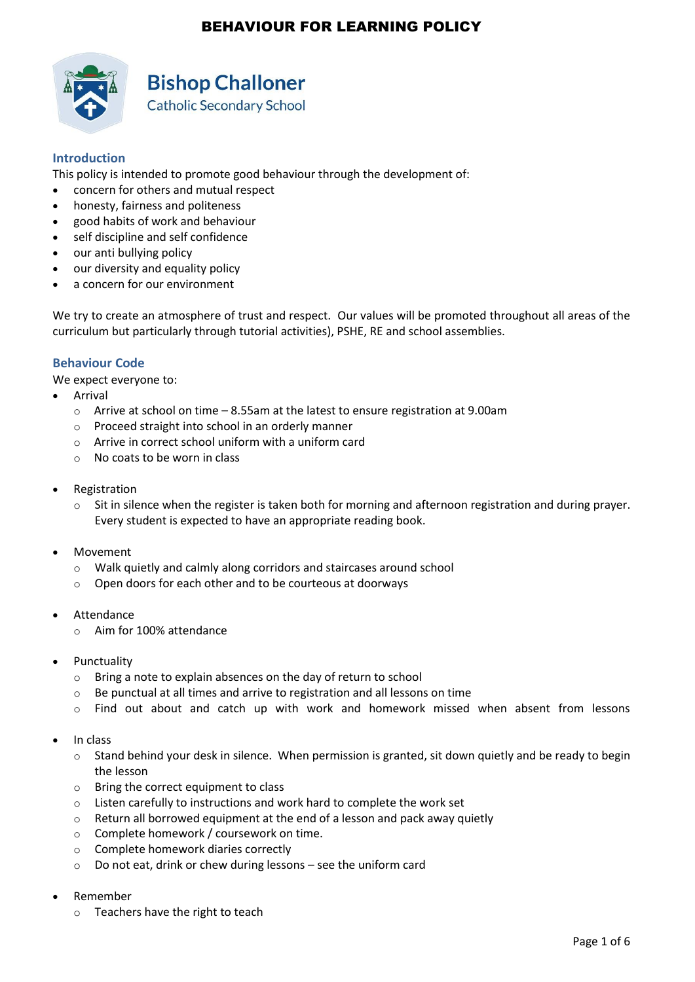

# **Bishop Challoner**

**Catholic Secondary School** 

### **Introduction**

This policy is intended to promote good behaviour through the development of:

- concern for others and mutual respect
- honesty, fairness and politeness
- good habits of work and behaviour
- self discipline and self confidence
- our anti bullying policy
- our diversity and equality policy
- a concern for our environment

We try to create an atmosphere of trust and respect. Our values will be promoted throughout all areas of the curriculum but particularly through tutorial activities), PSHE, RE and school assemblies.

### **Behaviour Code**

We expect everyone to:

- Arrival
	- $\circ$  Arrive at school on time  $-8.55$ am at the latest to ensure registration at 9.00am
	- o Proceed straight into school in an orderly manner
	- $\circ$  Arrive in correct school uniform with a uniform card
	- $\circ$  No coats to be worn in class
- Registration
	- $\circ$  Sit in silence when the register is taken both for morning and afternoon registration and during prayer. Every student is expected to have an appropriate reading book.
- Movement
	- o Walk quietly and calmly along corridors and staircases around school
	- o Open doors for each other and to be courteous at doorways
- Attendance
	- o Aim for 100% attendance
- Punctuality
	- o Bring a note to explain absences on the day of return to school
	- o Be punctual at all times and arrive to registration and all lessons on time
	- $\circ$  Find out about and catch up with work and homework missed when absent from lessons
- In class
	- $\circ$  Stand behind your desk in silence. When permission is granted, sit down quietly and be ready to begin the lesson
	- o Bring the correct equipment to class
	- o Listen carefully to instructions and work hard to complete the work set
	- $\circ$  Return all borrowed equipment at the end of a lesson and pack away quietly
	- o Complete homework / coursework on time.
	- o Complete homework diaries correctly
	- o Do not eat, drink or chew during lessons see the uniform card
- Remember
	- o Teachers have the right to teach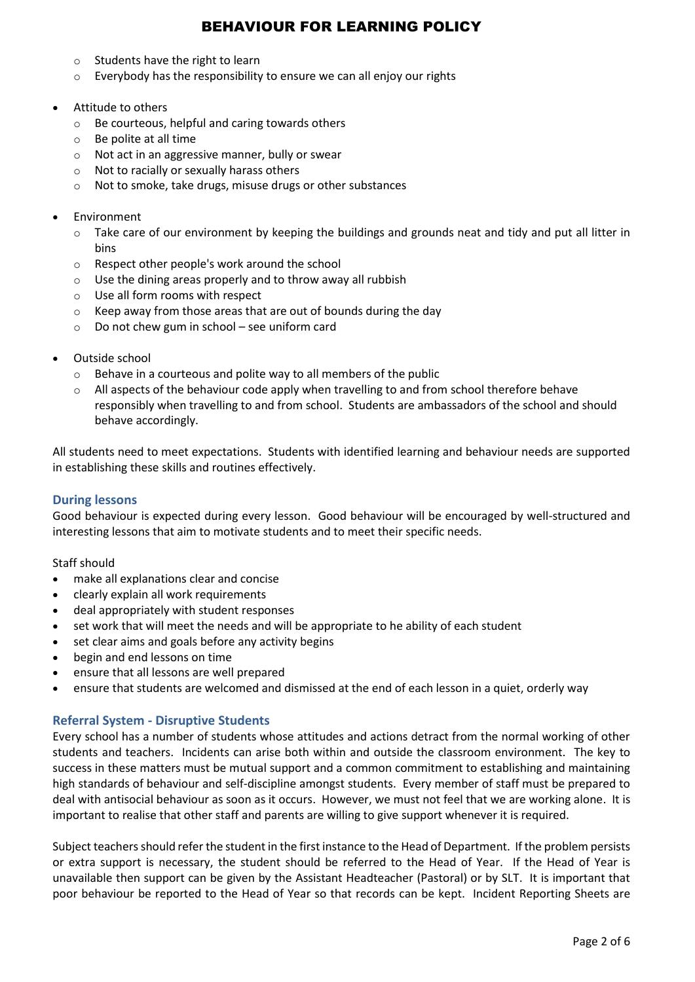- o Students have the right to learn
- o Everybody has the responsibility to ensure we can all enjoy our rights
- Attitude to others
	- o Be courteous, helpful and caring towards others
	- o Be polite at all time
	- o Not act in an aggressive manner, bully or swear
	- o Not to racially or sexually harass others
	- o Not to smoke, take drugs, misuse drugs or other substances
- Environment
	- $\circ$  Take care of our environment by keeping the buildings and grounds neat and tidy and put all litter in bins
	- o Respect other people's work around the school
	- o Use the dining areas properly and to throw away all rubbish
	- o Use all form rooms with respect
	- $\circ$  Keep away from those areas that are out of bounds during the day
	- $\circ$  Do not chew gum in school see uniform card
- Outside school
	- o Behave in a courteous and polite way to all members of the public
	- $\circ$  All aspects of the behaviour code apply when travelling to and from school therefore behave responsibly when travelling to and from school. Students are ambassadors of the school and should behave accordingly.

All students need to meet expectations. Students with identified learning and behaviour needs are supported in establishing these skills and routines effectively.

### **During lessons**

Good behaviour is expected during every lesson. Good behaviour will be encouraged by well-structured and interesting lessons that aim to motivate students and to meet their specific needs.

#### Staff should

- make all explanations clear and concise
- clearly explain all work requirements
- deal appropriately with student responses
- set work that will meet the needs and will be appropriate to he ability of each student
- set clear aims and goals before any activity begins
- begin and end lessons on time
- ensure that all lessons are well prepared
- ensure that students are welcomed and dismissed at the end of each lesson in a quiet, orderly way

### **Referral System - Disruptive Students**

Every school has a number of students whose attitudes and actions detract from the normal working of other students and teachers. Incidents can arise both within and outside the classroom environment. The key to success in these matters must be mutual support and a common commitment to establishing and maintaining high standards of behaviour and self-discipline amongst students. Every member of staff must be prepared to deal with antisocial behaviour as soon as it occurs. However, we must not feel that we are working alone. It is important to realise that other staff and parents are willing to give support whenever it is required.

Subject teachers should refer the student in the first instance to the Head of Department. If the problem persists or extra support is necessary, the student should be referred to the Head of Year. If the Head of Year is unavailable then support can be given by the Assistant Headteacher (Pastoral) or by SLT. It is important that poor behaviour be reported to the Head of Year so that records can be kept. Incident Reporting Sheets are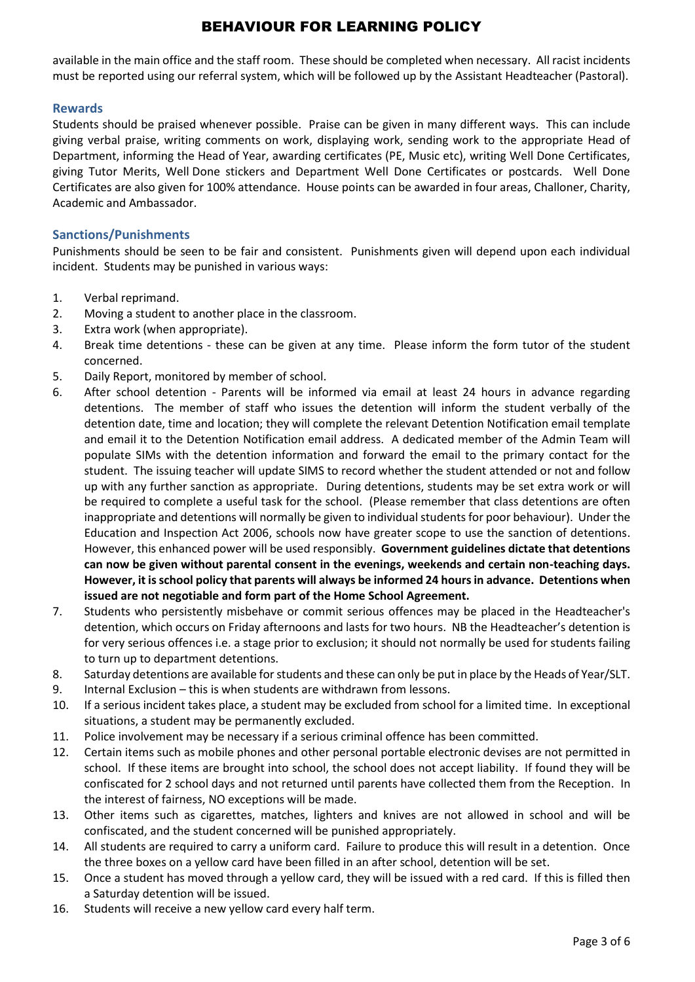available in the main office and the staff room. These should be completed when necessary. All racist incidents must be reported using our referral system, which will be followed up by the Assistant Headteacher (Pastoral).

### **Rewards**

Students should be praised whenever possible. Praise can be given in many different ways. This can include giving verbal praise, writing comments on work, displaying work, sending work to the appropriate Head of Department, informing the Head of Year, awarding certificates (PE, Music etc), writing Well Done Certificates, giving Tutor Merits, Well Done stickers and Department Well Done Certificates or postcards. Well Done Certificates are also given for 100% attendance. House points can be awarded in four areas, Challoner, Charity, Academic and Ambassador.

### **Sanctions/Punishments**

Punishments should be seen to be fair and consistent. Punishments given will depend upon each individual incident. Students may be punished in various ways:

- 1. Verbal reprimand.
- 2. Moving a student to another place in the classroom.
- 3. Extra work (when appropriate).
- 4. Break time detentions these can be given at any time. Please inform the form tutor of the student concerned.
- 5. Daily Report, monitored by member of school.
- 6. After school detention Parents will be informed via email at least 24 hours in advance regarding detentions. The member of staff who issues the detention will inform the student verbally of the detention date, time and location; they will complete the relevant Detention Notification email template and email it to the Detention Notification email address. A dedicated member of the Admin Team will populate SIMs with the detention information and forward the email to the primary contact for the student. The issuing teacher will update SIMS to record whether the student attended or not and follow up with any further sanction as appropriate. During detentions, students may be set extra work or will be required to complete a useful task for the school. (Please remember that class detentions are often inappropriate and detentions will normally be given to individual students for poor behaviour). Under the Education and Inspection Act 2006, schools now have greater scope to use the sanction of detentions. However, this enhanced power will be used responsibly. **Government guidelines dictate that detentions can now be given without parental consent in the evenings, weekends and certain non-teaching days. However, it is school policy that parents will always be informed 24 hours in advance. Detentions when issued are not negotiable and form part of the Home School Agreement.**
- 7. Students who persistently misbehave or commit serious offences may be placed in the Headteacher's detention, which occurs on Friday afternoons and lasts for two hours. NB the Headteacher's detention is for very serious offences i.e. a stage prior to exclusion; it should not normally be used for students failing to turn up to department detentions.
- 8. Saturday detentions are available for students and these can only be put in place by the Heads of Year/SLT.
- 9. Internal Exclusion this is when students are withdrawn from lessons.
- 10. If a serious incident takes place, a student may be excluded from school for a limited time. In exceptional situations, a student may be permanently excluded.
- 11. Police involvement may be necessary if a serious criminal offence has been committed.
- 12. Certain items such as mobile phones and other personal portable electronic devises are not permitted in school. If these items are brought into school, the school does not accept liability. If found they will be confiscated for 2 school days and not returned until parents have collected them from the Reception. In the interest of fairness, NO exceptions will be made.
- 13. Other items such as cigarettes, matches, lighters and knives are not allowed in school and will be confiscated, and the student concerned will be punished appropriately.
- 14. All students are required to carry a uniform card. Failure to produce this will result in a detention. Once the three boxes on a yellow card have been filled in an after school, detention will be set.
- 15. Once a student has moved through a yellow card, they will be issued with a red card. If this is filled then a Saturday detention will be issued.
- 16. Students will receive a new yellow card every half term.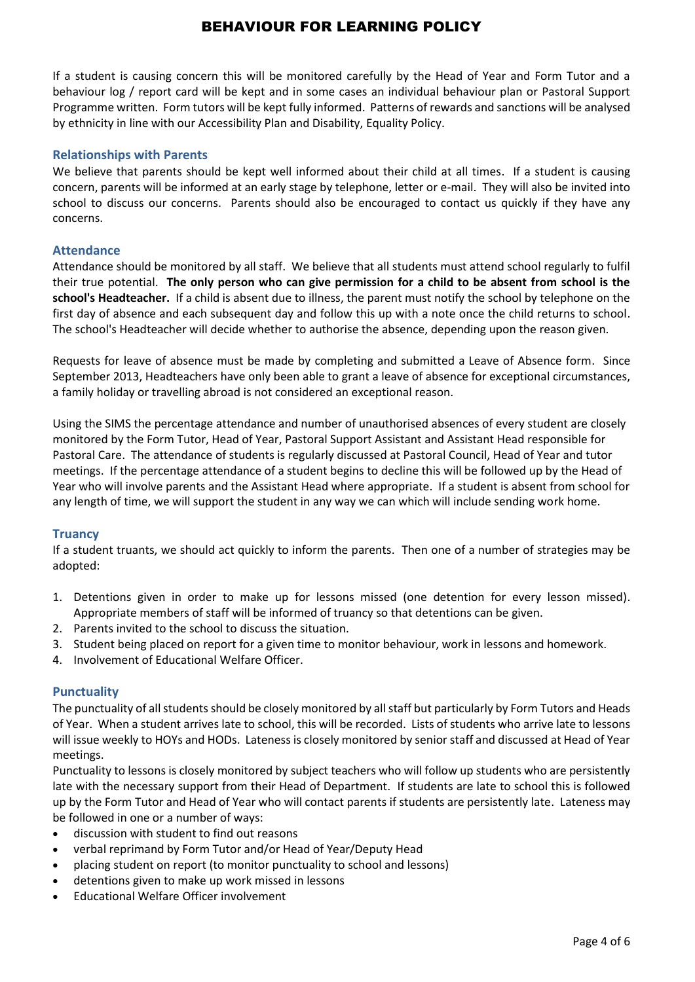If a student is causing concern this will be monitored carefully by the Head of Year and Form Tutor and a behaviour log / report card will be kept and in some cases an individual behaviour plan or Pastoral Support Programme written. Form tutors will be kept fully informed. Patterns of rewards and sanctions will be analysed by ethnicity in line with our Accessibility Plan and Disability, Equality Policy.

### **Relationships with Parents**

We believe that parents should be kept well informed about their child at all times. If a student is causing concern, parents will be informed at an early stage by telephone, letter or e-mail. They will also be invited into school to discuss our concerns. Parents should also be encouraged to contact us quickly if they have any concerns.

#### **Attendance**

Attendance should be monitored by all staff. We believe that all students must attend school regularly to fulfil their true potential. **The only person who can give permission for a child to be absent from school is the school's Headteacher.** If a child is absent due to illness, the parent must notify the school by telephone on the first day of absence and each subsequent day and follow this up with a note once the child returns to school. The school's Headteacher will decide whether to authorise the absence, depending upon the reason given.

Requests for leave of absence must be made by completing and submitted a Leave of Absence form. Since September 2013, Headteachers have only been able to grant a leave of absence for exceptional circumstances, a family holiday or travelling abroad is not considered an exceptional reason.

Using the SIMS the percentage attendance and number of unauthorised absences of every student are closely monitored by the Form Tutor, Head of Year, Pastoral Support Assistant and Assistant Head responsible for Pastoral Care. The attendance of students is regularly discussed at Pastoral Council, Head of Year and tutor meetings. If the percentage attendance of a student begins to decline this will be followed up by the Head of Year who will involve parents and the Assistant Head where appropriate. If a student is absent from school for any length of time, we will support the student in any way we can which will include sending work home.

#### **Truancy**

If a student truants, we should act quickly to inform the parents. Then one of a number of strategies may be adopted:

- 1. Detentions given in order to make up for lessons missed (one detention for every lesson missed). Appropriate members of staff will be informed of truancy so that detentions can be given.
- 2. Parents invited to the school to discuss the situation.
- 3. Student being placed on report for a given time to monitor behaviour, work in lessons and homework.
- 4. Involvement of Educational Welfare Officer.

### **Punctuality**

The punctuality of all students should be closely monitored by all staff but particularly by Form Tutors and Heads of Year. When a student arrives late to school, this will be recorded. Lists of students who arrive late to lessons will issue weekly to HOYs and HODs. Lateness is closely monitored by senior staff and discussed at Head of Year meetings.

Punctuality to lessons is closely monitored by subject teachers who will follow up students who are persistently late with the necessary support from their Head of Department. If students are late to school this is followed up by the Form Tutor and Head of Year who will contact parents if students are persistently late. Lateness may be followed in one or a number of ways:

- discussion with student to find out reasons
- verbal reprimand by Form Tutor and/or Head of Year/Deputy Head
- placing student on report (to monitor punctuality to school and lessons)
- detentions given to make up work missed in lessons
- Educational Welfare Officer involvement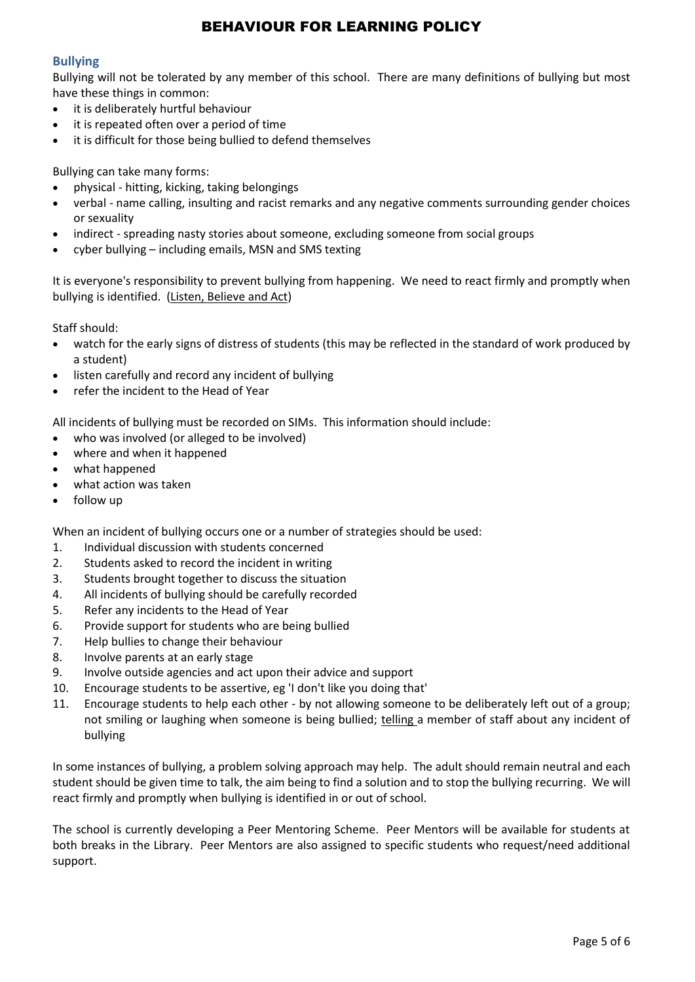### **Bullying**

Bullying will not be tolerated by any member of this school.There are many definitions of bullying but most have these things in common:

- it is deliberately hurtful behaviour
- it is repeated often over a period of time
- it is difficult for those being bullied to defend themselves

Bullying can take many forms:

- physical hitting, kicking, taking belongings
- verbal name calling, insulting and racist remarks and any negative comments surrounding gender choices or sexuality
- indirect spreading nasty stories about someone, excluding someone from social groups
- cyber bullying including emails, MSN and SMS texting

It is everyone's responsibility to prevent bullying from happening. We need to react firmly and promptly when bullying is identified. (Listen, Believe and Act)

Staff should:

- watch for the early signs of distress of students (this may be reflected in the standard of work produced by a student)
- listen carefully and record any incident of bullying
- refer the incident to the Head of Year

All incidents of bullying must be recorded on SIMs. This information should include:

- who was involved (or alleged to be involved)
- where and when it happened
- what happened
- what action was taken
- follow up

When an incident of bullying occurs one or a number of strategies should be used:

- 1. Individual discussion with students concerned
- 2. Students asked to record the incident in writing
- 3. Students brought together to discuss the situation
- 4. All incidents of bullying should be carefully recorded
- 5. Refer any incidents to the Head of Year
- 6. Provide support for students who are being bullied
- 7. Help bullies to change their behaviour
- 8. Involve parents at an early stage
- 9. Involve outside agencies and act upon their advice and support
- 10. Encourage students to be assertive, eg 'I don't like you doing that'
- 11. Encourage students to help each other by not allowing someone to be deliberately left out of a group; not smiling or laughing when someone is being bullied; telling a member of staff about any incident of bullying

In some instances of bullying, a problem solving approach may help. The adult should remain neutral and each student should be given time to talk, the aim being to find a solution and to stop the bullying recurring. We will react firmly and promptly when bullying is identified in or out of school.

The school is currently developing a Peer Mentoring Scheme. Peer Mentors will be available for students at both breaks in the Library. Peer Mentors are also assigned to specific students who request/need additional support.